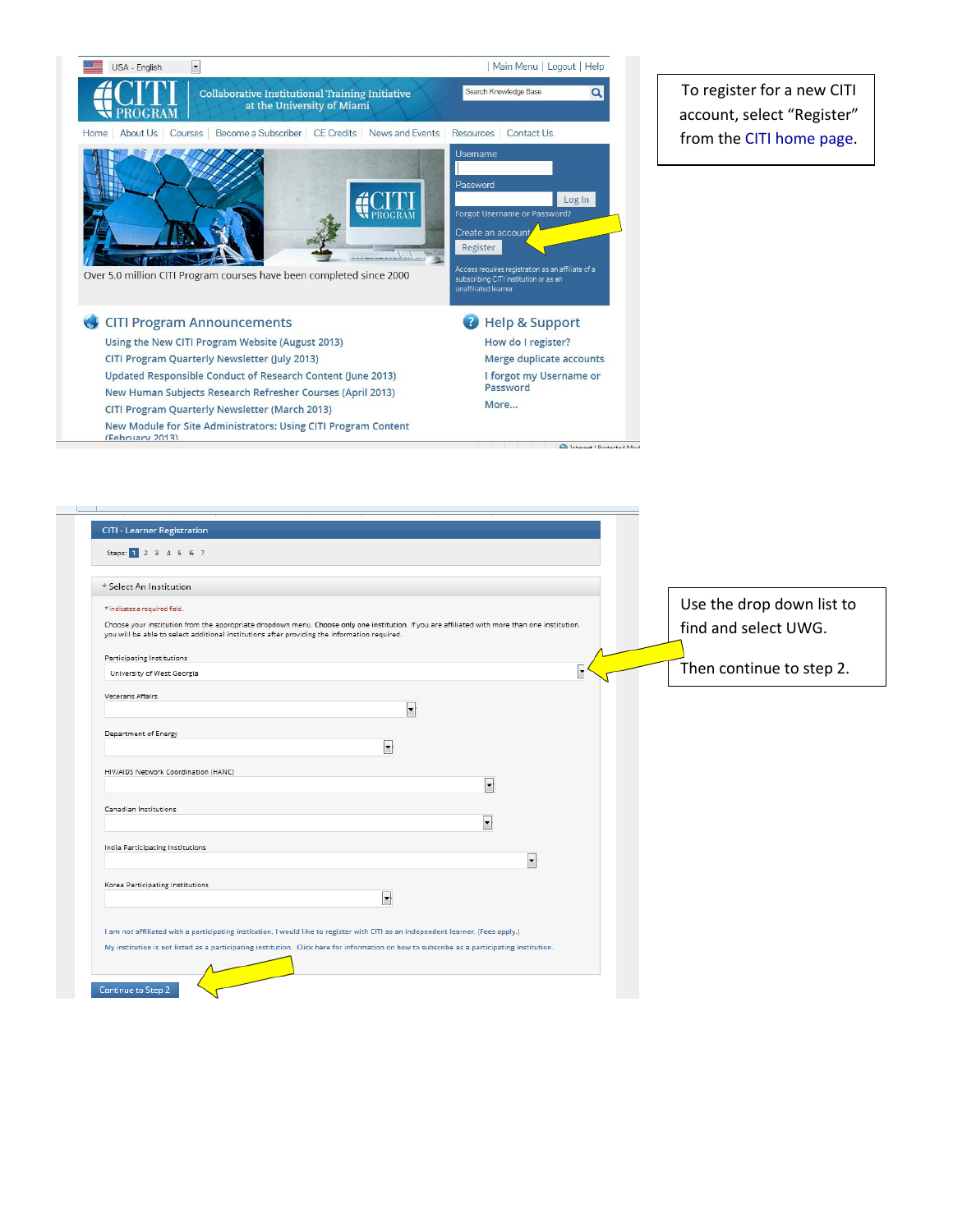

To register for a new CITI account, select "Register" from the [CITI home page](https://www.citiprogram.org).

| Steps: 1 2 3 4 5 6 7                                                                                                                                                                                                                                                                                         |                           |
|--------------------------------------------------------------------------------------------------------------------------------------------------------------------------------------------------------------------------------------------------------------------------------------------------------------|---------------------------|
| * Select An Institution                                                                                                                                                                                                                                                                                      |                           |
| * indicates a required field.                                                                                                                                                                                                                                                                                | Use the drop down list to |
| Choose your institution from the appropriate dropdown menu. Choose only one institution. If you are affiliated with more than one institution,<br>you will be able to select additional institutions after providing the information required.                                                               | find and select UWG.      |
| <b>Participating Institutions</b>                                                                                                                                                                                                                                                                            |                           |
| University of West Georgia                                                                                                                                                                                                                                                                                   | Then continue to step 2.  |
| Veterans Affairs<br>$\overline{\phantom{a}}$                                                                                                                                                                                                                                                                 |                           |
| <b>Department of Energy</b><br>$\blacktriangledown$                                                                                                                                                                                                                                                          |                           |
| HIV/AIDS Network Coordination (HANC)                                                                                                                                                                                                                                                                         | ↓                         |
| Canadian Institutions                                                                                                                                                                                                                                                                                        |                           |
|                                                                                                                                                                                                                                                                                                              | $\overline{\phantom{a}}$  |
| <b>India Participating Institutions</b>                                                                                                                                                                                                                                                                      | $\overline{\phantom{a}}$  |
| Korea Participating Institutions                                                                                                                                                                                                                                                                             |                           |
| $\overline{\phantom{a}}$<br>I am not affiliated with a participating institution. I would like to register with CITI as an independent learner. (Fees apply.)<br>My institution is not listed as a participating institution. Click here for information on how to subscribe as a participating institution. |                           |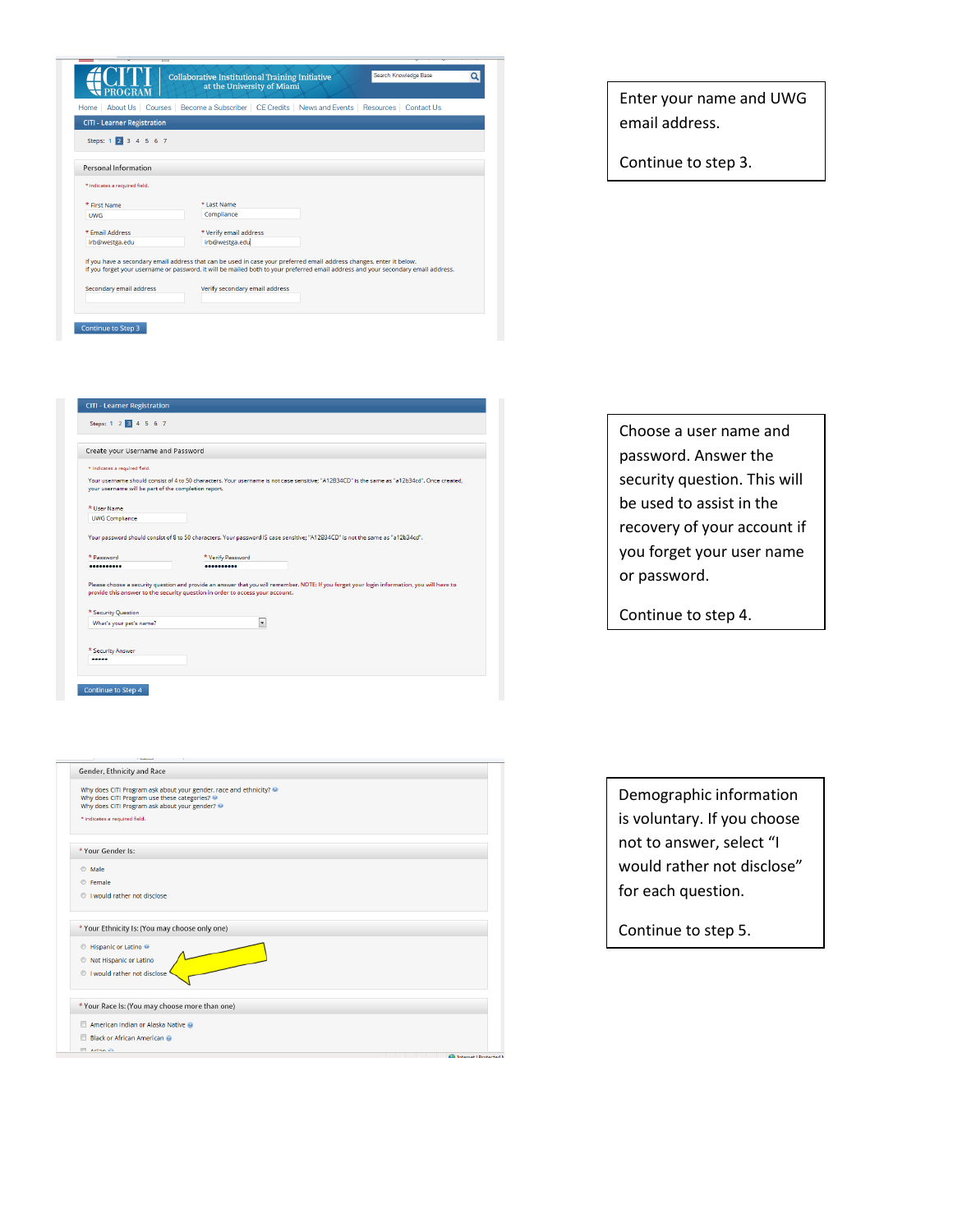|                                       | <b>Collaborative Institutional Training Initiative</b><br>at the University of Miami                                                                                                                                                                      | Search Knowledge Base<br>Q |
|---------------------------------------|-----------------------------------------------------------------------------------------------------------------------------------------------------------------------------------------------------------------------------------------------------------|----------------------------|
| About Us Courses<br>Home <sub>1</sub> | Become a Subscriber   CE Credits   News and Events   Resources   Contact Us                                                                                                                                                                               |                            |
| <b>CITI - Learner Registration</b>    |                                                                                                                                                                                                                                                           |                            |
| Steps: 1 2 3 4 5 6 7                  |                                                                                                                                                                                                                                                           |                            |
|                                       |                                                                                                                                                                                                                                                           |                            |
| Personal Information                  |                                                                                                                                                                                                                                                           |                            |
| * indicates a required field.         |                                                                                                                                                                                                                                                           |                            |
| * First Name                          | * Last Name                                                                                                                                                                                                                                               |                            |
| <b>UWG</b>                            | Compliance                                                                                                                                                                                                                                                |                            |
| * Fmail Address                       | * Verify email address                                                                                                                                                                                                                                    |                            |
| irb@westga.edu                        | irb@westga.edu                                                                                                                                                                                                                                            |                            |
|                                       | If you have a secondary email address that can be used in case your preferred email address changes, enter it below.<br>If you forget your username or password, it will be mailed both to your preferred email address and your secondary email address. |                            |
| Secondary email address               | Verify secondary email address                                                                                                                                                                                                                            |                            |
|                                       |                                                                                                                                                                                                                                                           |                            |
|                                       |                                                                                                                                                                                                                                                           |                            |

| Enter your name and UWG |
|-------------------------|
| email address.          |

Continue to step 3.

|                                                      | Create your Username and Password                                                                                                                                                                                             |
|------------------------------------------------------|-------------------------------------------------------------------------------------------------------------------------------------------------------------------------------------------------------------------------------|
| * indicates a required field.                        |                                                                                                                                                                                                                               |
| your username will be part of the completion report. | Your username should consist of 4 to 50 characters. Your username is not case sensitive; "A12B34CD" is the same as "a12b34cd". Once created,                                                                                  |
| * User Name                                          |                                                                                                                                                                                                                               |
|                                                      |                                                                                                                                                                                                                               |
| <b>UWG Compliance</b>                                | Your password should consist of 8 to 50 characters. Your password IS case sensitive: "A12B34CD" is not the same as "a12b34cd".                                                                                                |
|                                                      | * Verify Password                                                                                                                                                                                                             |
| * Password<br>                                       |                                                                                                                                                                                                                               |
| * Security Question                                  | Please choose a security question and provide an answer that you will remember. NOTE: If you forget your login information, you will have to<br>provide this answer to the security question in order to access your account. |

Continue to Step 4

| $\overline{\phantom{a}}$                                                                                                                                                                                                       |
|--------------------------------------------------------------------------------------------------------------------------------------------------------------------------------------------------------------------------------|
| Gender, Ethnicity and Race                                                                                                                                                                                                     |
| Why does CITI Program ask about your gender, race and ethnicity?<br>Why does CITI Program use these categories?                                                                                                                |
| Why does CITI Program ask about your gender?                                                                                                                                                                                   |
| * indicates a required field.                                                                                                                                                                                                  |
|                                                                                                                                                                                                                                |
|                                                                                                                                                                                                                                |
| * Your Gender Is:                                                                                                                                                                                                              |
| Male<br>⊙                                                                                                                                                                                                                      |
| <b>C</b> Female                                                                                                                                                                                                                |
| I would rather not disclose<br>$\circ$                                                                                                                                                                                         |
|                                                                                                                                                                                                                                |
|                                                                                                                                                                                                                                |
| * Your Ethnicity Is: (You may choose only one)                                                                                                                                                                                 |
| Hispanic or Latino<br>$^{\circ}$                                                                                                                                                                                               |
| Not Hispanic or Latino<br>O                                                                                                                                                                                                    |
|                                                                                                                                                                                                                                |
| I would rather not disclose<br>$\circ$                                                                                                                                                                                         |
|                                                                                                                                                                                                                                |
| * Your Race Is: (You may choose more than one)                                                                                                                                                                                 |
| American Indian or Alaska Native                                                                                                                                                                                               |
| Black or African American @                                                                                                                                                                                                    |
| <b>ITTL</b> Action 43                                                                                                                                                                                                          |
| Charles Contact Contact Contact Contact Contact Contact Contact Contact Contact Contact Contact Contact Contact Contact Contact Contact Contact Contact Contact Contact Contact Contact Contact Contact Contact Contact Contac |

Choose a user name and password. Answer the security question. This will be used to assist in the recovery of your account if you forget your user name or password.

Continue to step 4.

Demographic information is voluntary. If you choose not to answer, select "I would rather not disclose" for each question.

Continue to step 5.